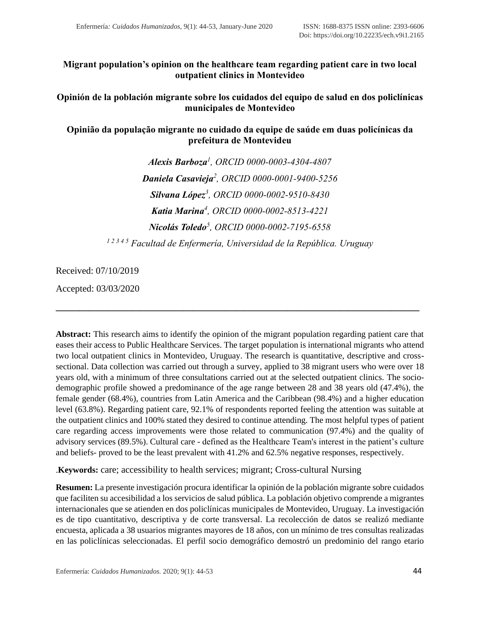# **Migrant population's opinion on the healthcare team regarding patient care in two local outpatient clinics in Montevideo**

**Opinión de la población migrante sobre los cuidados del equipo de salud en dos policlínicas municipales de Montevideo**

**Opinião da população migrante no cuidado da equipe de saúde em duas policínicas da prefeitura de Montevideu**

> *Alexis Barboza<sup>1</sup> , ORCID [0000-0003-4304-4807](https://orcid.org/0000-0003-4304-4807) Daniela Casavieja<sup>2</sup> , ORCID [0000-0001-9400-5256](https://orcid.org/0000-0001-9400-5256) Silvana López<sup>3</sup> , ORCID [0000-0002-9510-8430](https://orcid.org/0000-0002-9510-8430) Katia Marina<sup>4</sup> , ORCID [0000-0002-8513-4221](https://orcid.org/0000-0002-8513-4221) Nicolás Toledo<sup>5</sup> , ORCID [0000-0002-7195-6558](https://orcid.org/0000-0002-7195-6558) 1 2 3 4 5 Facultad de Enfermería, Universidad de la República. Uruguay*

Received: 07/10/2019

Accepted: 03/03/2020

**Abstract:** This research aims to identify the opinion of the migrant population regarding patient care that eases their access to Public Healthcare Services. The target population is international migrants who attend two local outpatient clinics in Montevideo, Uruguay. The research is quantitative, descriptive and crosssectional. Data collection was carried out through a survey, applied to 38 migrant users who were over 18 years old, with a minimum of three consultations carried out at the selected outpatient clinics. The sociodemographic profile showed a predominance of the age range between 28 and 38 years old (47.4%), the female gender (68.4%), countries from Latin America and the Caribbean (98.4%) and a higher education level (63.8%). Regarding patient care, 92.1% of respondents reported feeling the attention was suitable at the outpatient clinics and 100% stated they desired to continue attending. The most helpful types of patient care regarding access improvements were those related to communication (97.4%) and the quality of advisory services (89.5%). Cultural care - defined as the Healthcare Team's interest in the patient's culture and beliefs- proved to be the least prevalent with 41.2% and 62.5% negative responses, respectively.

**\_\_\_\_\_\_\_\_\_\_\_\_\_\_\_\_\_\_\_\_\_\_\_\_\_\_\_\_\_\_\_\_\_\_\_\_\_\_\_\_\_\_\_\_\_\_\_\_\_\_\_\_\_\_\_\_\_\_\_\_\_\_\_\_\_\_\_\_\_\_\_\_\_\_\_\_\_**

.**Keywords:** care; accessibility to health services; migrant; Cross-cultural Nursing

**Resumen:** La presente investigación procura identificar la opinión de la población migrante sobre cuidados que faciliten su accesibilidad a los servicios de salud pública. La población objetivo comprende a migrantes internacionales que se atienden en dos policlínicas municipales de Montevideo, Uruguay. La investigación es de tipo cuantitativo, descriptiva y de corte transversal. La recolección de datos se realizó mediante encuesta, aplicada a 38 usuarios migrantes mayores de 18 años, con un mínimo de tres consultas realizadas en las policlínicas seleccionadas. El perfil socio demográfico demostró un predominio del rango etario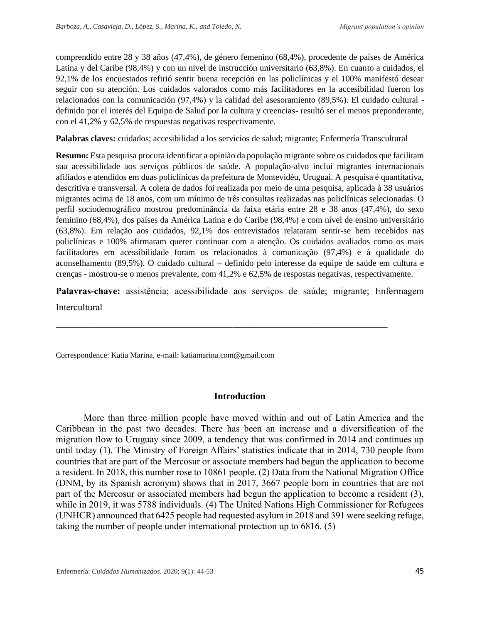comprendido entre 28 y 38 años (47,4%), de género femenino (68,4%), procedente de países de América Latina y del Caribe (98,4%) y con un nivel de instrucción universitario (63,8%). En cuanto a cuidados, el 92,1% de los encuestados refirió sentir buena recepción en las policlínicas y el 100% manifestó desear seguir con su atención. Los cuidados valorados como más facilitadores en la accesibilidad fueron los relacionados con la comunicación (97,4%) y la calidad del asesoramiento (89,5%). El cuidado cultural definido por el interés del Equipo de Salud por la cultura y creencias- resultó ser el menos preponderante, con el 41,2% y 62,5% de respuestas negativas respectivamente.

**Palabras claves:** cuidados; accesibilidad a los servicios de salud; migrante; Enfermería Transcultural

**Resumo:** Esta pesquisa procura identificar a opinião da população migrante sobre os cuidados que facilitam sua acessibilidade aos serviços públicos de saúde. A população-alvo inclui migrantes internacionais afiliados e atendidos em duas policlínicas da prefeitura de Montevidéu, Uruguai. A pesquisa é quantitativa, descritiva e transversal. A coleta de dados foi realizada por meio de uma pesquisa, aplicada à 38 usuários migrantes acima de 18 anos, com um mínimo de três consultas realizadas nas policlínicas selecionadas. O perfil sociodemográfico mostrou predominância da faixa etária entre 28 e 38 anos (47,4%), do sexo feminino (68,4%), dos países da América Latina e do Caribe (98,4%) e com nível de ensino universitário (63,8%). Em relação aos cuidados, 92,1% dos entrevistados relataram sentir-se bem recebidos nas policlínicas e 100% afirmaram querer continuar com a atenção. Os cuidados avaliados como os mais facilitadores em acessibilidade foram os relacionados à comunicação (97,4%) e à qualidade do aconselhamento (89,5%). O cuidado cultural – definido pelo interesse da equipe de saúde em cultura e crenças - mostrou-se o menos prevalente, com 41,2% e 62,5% de respostas negativas, respectivamente.

**Palavras-chave:** assistência; acessibilidade aos serviços de saúde; migrante; Enfermagem **Intercultural** 

\_\_\_\_\_\_\_\_\_\_\_\_\_\_\_\_\_\_\_\_\_\_\_\_\_\_\_\_\_\_\_\_\_\_\_\_\_\_\_\_\_\_\_\_\_\_\_\_\_\_\_\_\_\_\_\_\_\_\_\_\_\_\_\_\_\_\_\_\_\_\_\_\_\_\_\_\_

Correspondence: Katia Marina, e-mail: katiamarina.com@gmail.com

## **Introduction**

More than three million people have moved within and out of Latin America and the Caribbean in the past two decades. There has been an increase and a diversification of the migration flow to Uruguay since 2009, a tendency that was confirmed in 2014 and continues up until today (1). The Ministry of Foreign Affairs' statistics indicate that in 2014, 730 people from countries that are part of the Mercosur or associate members had begun the application to become a resident. In 2018, this number rose to 10861 people. (2) Data from the National Migration Office (DNM, by its Spanish acronym) shows that in 2017, 3667 people born in countries that are not part of the Mercosur or associated members had begun the application to become a resident (3), while in 2019, it was 5788 individuals. (4) The United Nations High Commissioner for Refugees (UNHCR) announced that 6425 people had requested asylum in 2018 and 391 were seeking refuge, taking the number of people under international protection up to 6816. (5)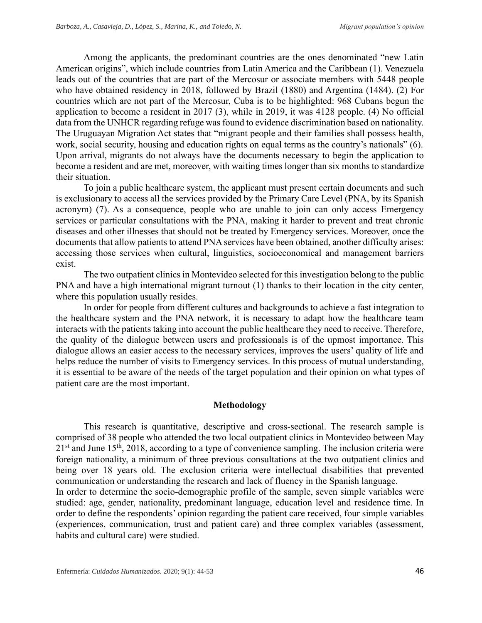Among the applicants, the predominant countries are the ones denominated "new Latin American origins", which include countries from Latin America and the Caribbean (1). Venezuela leads out of the countries that are part of the Mercosur or associate members with 5448 people who have obtained residency in 2018, followed by Brazil (1880) and Argentina (1484). (2) For countries which are not part of the Mercosur, Cuba is to be highlighted: 968 Cubans begun the application to become a resident in 2017 (3), while in 2019, it was 4128 people. (4) No official data from the UNHCR regarding refuge was found to evidence discrimination based on nationality. The Uruguayan Migration Act states that "migrant people and their families shall possess health, work, social security, housing and education rights on equal terms as the country's nationals" (6). Upon arrival, migrants do not always have the documents necessary to begin the application to become a resident and are met, moreover, with waiting times longer than six months to standardize their situation.

To join a public healthcare system, the applicant must present certain documents and such is exclusionary to access all the services provided by the Primary Care Level (PNA, by its Spanish acronym) (7). As a consequence, people who are unable to join can only access Emergency services or particular consultations with the PNA, making it harder to prevent and treat chronic diseases and other illnesses that should not be treated by Emergency services. Moreover, once the documents that allow patients to attend PNA services have been obtained, another difficulty arises: accessing those services when cultural, linguistics, socioeconomical and management barriers exist.

The two outpatient clinics in Montevideo selected for this investigation belong to the public PNA and have a high international migrant turnout (1) thanks to their location in the city center, where this population usually resides.

In order for people from different cultures and backgrounds to achieve a fast integration to the healthcare system and the PNA network, it is necessary to adapt how the healthcare team interacts with the patients taking into account the public healthcare they need to receive. Therefore, the quality of the dialogue between users and professionals is of the upmost importance. This dialogue allows an easier access to the necessary services, improves the users' quality of life and helps reduce the number of visits to Emergency services. In this process of mutual understanding, it is essential to be aware of the needs of the target population and their opinion on what types of patient care are the most important.

#### **Methodology**

This research is quantitative, descriptive and cross-sectional. The research sample is comprised of 38 people who attended the two local outpatient clinics in Montevideo between May  $21<sup>st</sup>$  and June 15<sup>th</sup>, 2018, according to a type of convenience sampling. The inclusion criteria were foreign nationality, a minimum of three previous consultations at the two outpatient clinics and being over 18 years old. The exclusion criteria were intellectual disabilities that prevented communication or understanding the research and lack of fluency in the Spanish language.

In order to determine the socio-demographic profile of the sample, seven simple variables were studied: age, gender, nationality, predominant language, education level and residence time. In order to define the respondents' opinion regarding the patient care received, four simple variables (experiences, communication, trust and patient care) and three complex variables (assessment, habits and cultural care) were studied.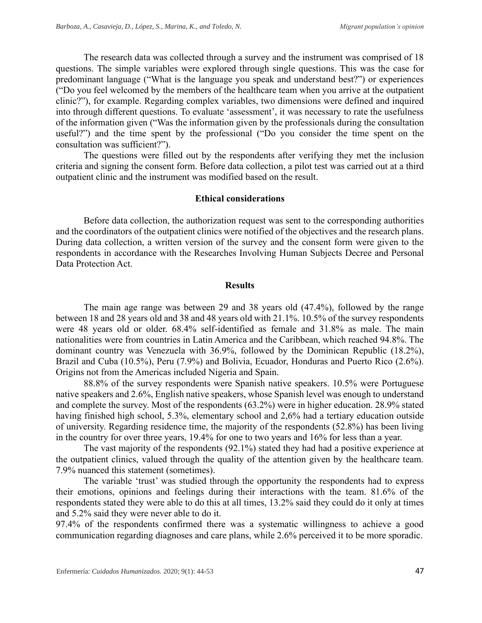The research data was collected through a survey and the instrument was comprised of 18 questions. The simple variables were explored through single questions. This was the case for predominant language ("What is the language you speak and understand best?") or experiences ("Do you feel welcomed by the members of the healthcare team when you arrive at the outpatient clinic?"), for example. Regarding complex variables, two dimensions were defined and inquired into through different questions. To evaluate 'assessment', it was necessary to rate the usefulness of the information given ("Was the information given by the professionals during the consultation useful?") and the time spent by the professional ("Do you consider the time spent on the consultation was sufficient?").

The questions were filled out by the respondents after verifying they met the inclusion criteria and signing the consent form. Before data collection, a pilot test was carried out at a third outpatient clinic and the instrument was modified based on the result.

#### **Ethical considerations**

Before data collection, the authorization request was sent to the corresponding authorities and the coordinators of the outpatient clinics were notified of the objectives and the research plans. During data collection, a written version of the survey and the consent form were given to the respondents in accordance with the Researches Involving Human Subjects Decree and Personal Data Protection Act.

#### **Results**

The main age range was between 29 and 38 years old (47.4%), followed by the range between 18 and 28 years old and 38 and 48 years old with 21.1%. 10.5% of the survey respondents were 48 years old or older. 68.4% self-identified as female and 31.8% as male. The main nationalities were from countries in Latin America and the Caribbean, which reached 94.8%. The dominant country was Venezuela with 36.9%, followed by the Dominican Republic (18.2%), Brazil and Cuba (10.5%), Peru (7.9%) and Bolivia, Ecuador, Honduras and Puerto Rico (2.6%). Origins not from the Americas included Nigeria and Spain.

88.8% of the survey respondents were Spanish native speakers. 10.5% were Portuguese native speakers and 2.6%, English native speakers, whose Spanish level was enough to understand and complete the survey. Most of the respondents (63.2%) were in higher education. 28.9% stated having finished high school, 5.3%, elementary school and 2,6% had a tertiary education outside of university. Regarding residence time, the majority of the respondents (52.8%) has been living in the country for over three years, 19.4% for one to two years and 16% for less than a year.

The vast majority of the respondents (92.1%) stated they had had a positive experience at the outpatient clinics, valued through the quality of the attention given by the healthcare team. 7.9% nuanced this statement (sometimes).

The variable 'trust' was studied through the opportunity the respondents had to express their emotions, opinions and feelings during their interactions with the team. 81.6% of the respondents stated they were able to do this at all times, 13.2% said they could do it only at times and 5.2% said they were never able to do it.

97.4% of the respondents confirmed there was a systematic willingness to achieve a good communication regarding diagnoses and care plans, while 2.6% perceived it to be more sporadic.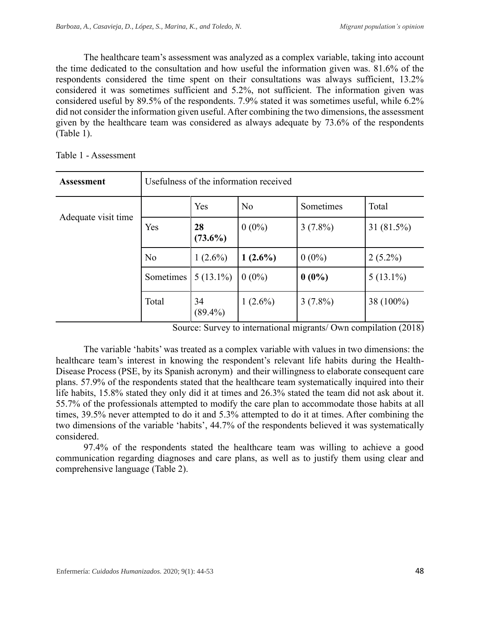The healthcare team's assessment was analyzed as a complex variable, taking into account the time dedicated to the consultation and how useful the information given was. 81.6% of the respondents considered the time spent on their consultations was always sufficient, 13.2% considered it was sometimes sufficient and 5.2%, not sufficient. The information given was considered useful by 89.5% of the respondents. 7.9% stated it was sometimes useful, while 6.2% did not consider the information given useful. After combining the two dimensions, the assessment given by the healthcare team was considered as always adequate by 73.6% of the respondents (Table 1).

| <b>Assessment</b>   | Usefulness of the information received |                  |                |            |             |  |  |
|---------------------|----------------------------------------|------------------|----------------|------------|-------------|--|--|
| Adequate visit time |                                        | Yes              | N <sub>o</sub> | Sometimes  | Total       |  |  |
|                     | Yes                                    | 28<br>$(73.6\%)$ | $0(0\%)$       | $3(7.8\%)$ | 31 (81.5%)  |  |  |
|                     | No                                     | $1(2.6\%)$       | $1(2.6\%)$     | $0(0\%)$   | $2(5.2\%)$  |  |  |
|                     | Sometimes                              | $5(13.1\%)$      | $0(0\%)$       | $0(0\%)$   | $5(13.1\%)$ |  |  |
|                     | Total                                  | 34<br>$(89.4\%)$ | $1(2.6\%)$     | $3(7.8\%)$ | 38 (100%)   |  |  |

Table 1 - Assessment

Source: Survey to international migrants/ Own compilation (2018)

The variable 'habits' was treated as a complex variable with values in two dimensions: the healthcare team's interest in knowing the respondent's relevant life habits during the Health-Disease Process (PSE, by its Spanish acronym) and their willingness to elaborate consequent care plans. 57.9% of the respondents stated that the healthcare team systematically inquired into their life habits, 15.8% stated they only did it at times and 26.3% stated the team did not ask about it. 55.7% of the professionals attempted to modify the care plan to accommodate those habits at all times, 39.5% never attempted to do it and 5.3% attempted to do it at times. After combining the two dimensions of the variable 'habits', 44.7% of the respondents believed it was systematically considered.

97.4% of the respondents stated the healthcare team was willing to achieve a good communication regarding diagnoses and care plans, as well as to justify them using clear and comprehensive language (Table 2).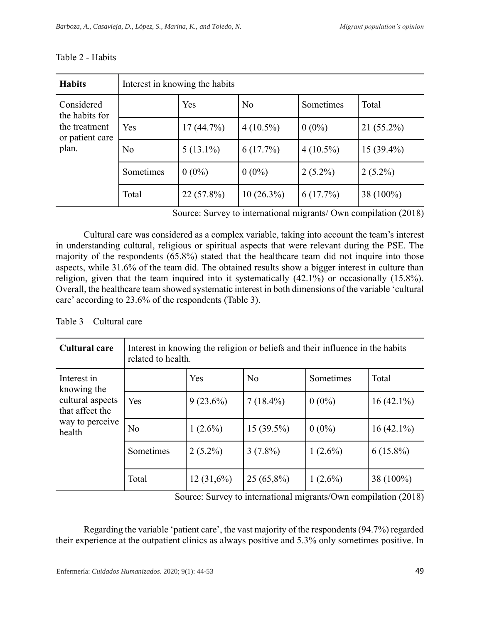| <b>Habits</b>                                                             | Interest in knowing the habits |             |                |             |              |  |  |
|---------------------------------------------------------------------------|--------------------------------|-------------|----------------|-------------|--------------|--|--|
| Considered<br>the habits for<br>the treatment<br>or patient care<br>plan. |                                | Yes         | N <sub>o</sub> | Sometimes   | Total        |  |  |
|                                                                           | Yes                            | 17(44.7%)   | $4(10.5\%)$    | $0(0\%)$    | $21(55.2\%)$ |  |  |
|                                                                           | No                             | $5(13.1\%)$ | 6(17.7%)       | $4(10.5\%)$ | $15(39.4\%)$ |  |  |
|                                                                           | Sometimes                      | $0(0\%)$    | $0(0\%)$       | $2(5.2\%)$  | $2(5.2\%)$   |  |  |
|                                                                           | Total                          | 22 (57.8%)  | $10(26.3\%)$   | 6(17.7%)    | 38 (100%)    |  |  |

#### Table 2 - Habits

Source: Survey to international migrants/ Own compilation (2018)

Cultural care was considered as a complex variable, taking into account the team's interest in understanding cultural, religious or spiritual aspects that were relevant during the PSE. The majority of the respondents (65.8%) stated that the healthcare team did not inquire into those aspects, while 31.6% of the team did. The obtained results show a bigger interest in culture than religion, given that the team inquired into it systematically  $(42.1\%)$  or occasionally  $(15.8\%).$ Overall, the healthcare team showed systematic interest in both dimensions of the variable 'cultural care' according to 23.6% of the respondents (Table 3).

# Table 3 – Cultural care

| <b>Cultural care</b>                                                                           | Interest in knowing the religion or beliefs and their influence in the habits<br>related to health. |              |                |            |              |  |  |
|------------------------------------------------------------------------------------------------|-----------------------------------------------------------------------------------------------------|--------------|----------------|------------|--------------|--|--|
| Interest in<br>knowing the<br>cultural aspects<br>that affect the<br>way to perceive<br>health |                                                                                                     | Yes          | N <sub>o</sub> | Sometimes  | Total        |  |  |
|                                                                                                | Yes                                                                                                 | $9(23.6\%)$  | $7(18.4\%)$    | $0(0\%)$   | $16(42.1\%)$ |  |  |
|                                                                                                | N <sub>o</sub>                                                                                      | $1(2.6\%)$   | $15(39.5\%)$   | $0(0\%)$   | $16(42.1\%)$ |  |  |
|                                                                                                | Sometimes                                                                                           | $2(5.2\%)$   | $3(7.8\%)$     | $1(2.6\%)$ | $6(15.8\%)$  |  |  |
|                                                                                                | Total                                                                                               | $12(31,6\%)$ | $25(65,8\%)$   | $1(2,6\%)$ | 38 (100%)    |  |  |

Source: Survey to international migrants/Own compilation (2018)

Regarding the variable 'patient care', the vast majority of the respondents (94.7%) regarded their experience at the outpatient clinics as always positive and 5.3% only sometimes positive. In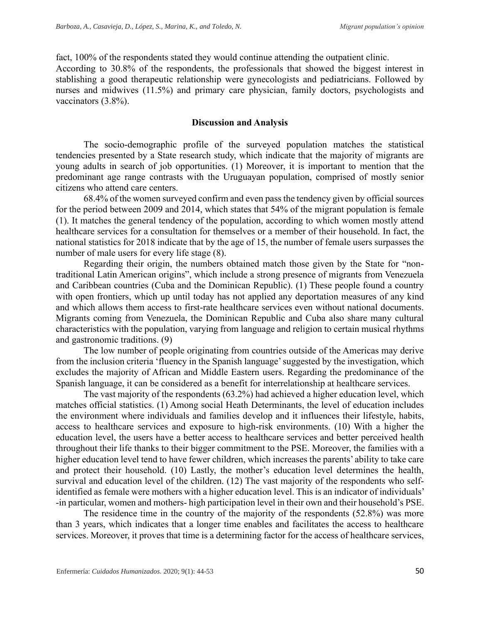fact, 100% of the respondents stated they would continue attending the outpatient clinic. According to 30.8% of the respondents, the professionals that showed the biggest interest in stablishing a good therapeutic relationship were gynecologists and pediatricians. Followed by nurses and midwives (11.5%) and primary care physician, family doctors, psychologists and vaccinators (3.8%).

#### **Discussion and Analysis**

The socio-demographic profile of the surveyed population matches the statistical tendencies presented by a State research study, which indicate that the majority of migrants are young adults in search of job opportunities. (1) Moreover, it is important to mention that the predominant age range contrasts with the Uruguayan population, comprised of mostly senior citizens who attend care centers.

68.4% of the women surveyed confirm and even pass the tendency given by official sources for the period between 2009 and 2014, which states that 54% of the migrant population is female (1). It matches the general tendency of the population, according to which women mostly attend healthcare services for a consultation for themselves or a member of their household. In fact, the national statistics for 2018 indicate that by the age of 15, the number of female users surpasses the number of male users for every life stage (8).

Regarding their origin, the numbers obtained match those given by the State for "nontraditional Latin American origins", which include a strong presence of migrants from Venezuela and Caribbean countries (Cuba and the Dominican Republic). (1) These people found a country with open frontiers, which up until today has not applied any deportation measures of any kind and which allows them access to first-rate healthcare services even without national documents. Migrants coming from Venezuela, the Dominican Republic and Cuba also share many cultural characteristics with the population, varying from language and religion to certain musical rhythms and gastronomic traditions. (9)

The low number of people originating from countries outside of the Americas may derive from the inclusion criteria 'fluency in the Spanish language' suggested by the investigation, which excludes the majority of African and Middle Eastern users. Regarding the predominance of the Spanish language, it can be considered as a benefit for interrelationship at healthcare services.

The vast majority of the respondents (63.2%) had achieved a higher education level, which matches official statistics. (1) Among social Heath Determinants, the level of education includes the environment where individuals and families develop and it influences their lifestyle, habits, access to healthcare services and exposure to high-risk environments. (10) With a higher the education level, the users have a better access to healthcare services and better perceived health throughout their life thanks to their bigger commitment to the PSE. Moreover, the families with a higher education level tend to have fewer children, which increases the parents' ability to take care and protect their household. (10) Lastly, the mother's education level determines the health, survival and education level of the children. (12) The vast majority of the respondents who selfidentified as female were mothers with a higher education level. This is an indicator of individuals' -in particular, women and mothers- high participation level in their own and their household's PSE.

The residence time in the country of the majority of the respondents (52.8%) was more than 3 years, which indicates that a longer time enables and facilitates the access to healthcare services. Moreover, it proves that time is a determining factor for the access of healthcare services,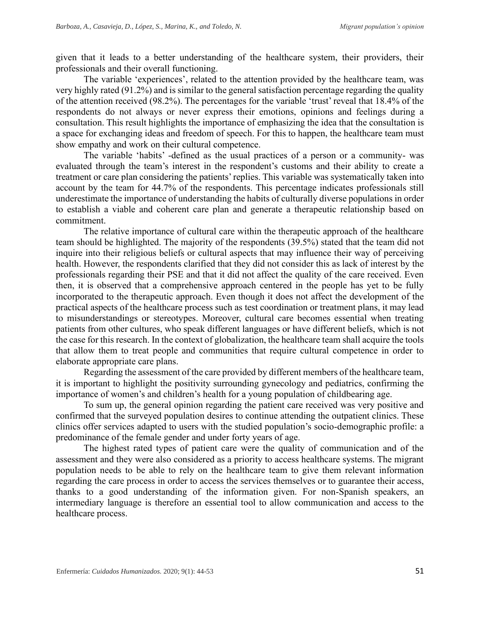given that it leads to a better understanding of the healthcare system, their providers, their professionals and their overall functioning.

The variable 'experiences', related to the attention provided by the healthcare team, was very highly rated (91.2%) and is similar to the general satisfaction percentage regarding the quality of the attention received (98.2%). The percentages for the variable 'trust' reveal that 18.4% of the respondents do not always or never express their emotions, opinions and feelings during a consultation. This result highlights the importance of emphasizing the idea that the consultation is a space for exchanging ideas and freedom of speech. For this to happen, the healthcare team must show empathy and work on their cultural competence.

The variable 'habits' -defined as the usual practices of a person or a community- was evaluated through the team's interest in the respondent's customs and their ability to create a treatment or care plan considering the patients' replies. This variable was systematically taken into account by the team for 44.7% of the respondents. This percentage indicates professionals still underestimate the importance of understanding the habits of culturally diverse populations in order to establish a viable and coherent care plan and generate a therapeutic relationship based on commitment.

The relative importance of cultural care within the therapeutic approach of the healthcare team should be highlighted. The majority of the respondents (39.5%) stated that the team did not inquire into their religious beliefs or cultural aspects that may influence their way of perceiving health. However, the respondents clarified that they did not consider this as lack of interest by the professionals regarding their PSE and that it did not affect the quality of the care received. Even then, it is observed that a comprehensive approach centered in the people has yet to be fully incorporated to the therapeutic approach. Even though it does not affect the development of the practical aspects of the healthcare process such as test coordination or treatment plans, it may lead to misunderstandings or stereotypes. Moreover, cultural care becomes essential when treating patients from other cultures, who speak different languages or have different beliefs, which is not the case for this research. In the context of globalization, the healthcare team shall acquire the tools that allow them to treat people and communities that require cultural competence in order to elaborate appropriate care plans.

Regarding the assessment of the care provided by different members of the healthcare team, it is important to highlight the positivity surrounding gynecology and pediatrics, confirming the importance of women's and children's health for a young population of childbearing age.

To sum up, the general opinion regarding the patient care received was very positive and confirmed that the surveyed population desires to continue attending the outpatient clinics. These clinics offer services adapted to users with the studied population's socio-demographic profile: a predominance of the female gender and under forty years of age.

The highest rated types of patient care were the quality of communication and of the assessment and they were also considered as a priority to access healthcare systems. The migrant population needs to be able to rely on the healthcare team to give them relevant information regarding the care process in order to access the services themselves or to guarantee their access, thanks to a good understanding of the information given. For non-Spanish speakers, an intermediary language is therefore an essential tool to allow communication and access to the healthcare process.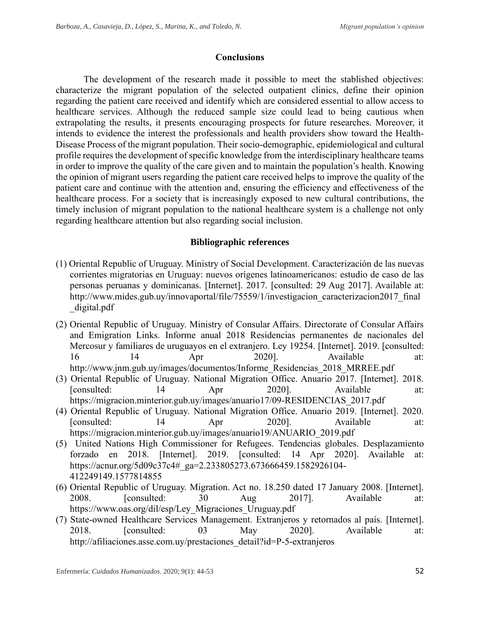### **Conclusions**

The development of the research made it possible to meet the stablished objectives: characterize the migrant population of the selected outpatient clinics, define their opinion regarding the patient care received and identify which are considered essential to allow access to healthcare services. Although the reduced sample size could lead to being cautious when extrapolating the results, it presents encouraging prospects for future researches. Moreover, it intends to evidence the interest the professionals and health providers show toward the Health-Disease Process of the migrant population. Their socio-demographic, epidemiological and cultural profile requires the development of specific knowledge from the interdisciplinary healthcare teams in order to improve the quality of the care given and to maintain the population's health. Knowing the opinion of migrant users regarding the patient care received helps to improve the quality of the patient care and continue with the attention and, ensuring the efficiency and effectiveness of the healthcare process. For a society that is increasingly exposed to new cultural contributions, the timely inclusion of migrant population to the national healthcare system is a challenge not only regarding healthcare attention but also regarding social inclusion.

## **Bibliographic references**

- (1) Oriental Republic of Uruguay. Ministry of Social Development. Caracterización de las nuevas corrientes migratorias en Uruguay: nuevos orígenes latinoamericanos: estudio de caso de las personas peruanas y dominicanas. [Internet]. 2017. [consulted: 29 Aug 2017]. Available at: http://www.mides.gub.uy/innovaportal/file/75559/1/investigacion\_caracterizacion2017\_final\_ \_digital.pdf
- (2) Oriental Republic of Uruguay. Ministry of Consular Affairs. Directorate of Consular Affairs and Emigration Links. Informe anual 2018 Residencias permanentes de nacionales del Mercosur y familiares de uruguayos en el extranjero. Ley 19254. [Internet]. 2019. [consulted: 16 14 Apr 2020]. Available at: http://www.jnm.gub.uy/images/documentos/Informe\_Residencias\_2018\_MRREE.pdf
- (3) Oriental Republic of Uruguay. National Migration Office. Anuario 2017. [Internet]. 2018. [consulted: 14 Apr 2020]. Available at: https://migracion.minterior.gub.uy/images/anuario17/09-RESIDENCIAS\_2017.pdf
- (4) Oriental Republic of Uruguay. National Migration Office. Anuario 2019. [Internet]. 2020. [consulted: 14 Apr 2020]. Available at: https://migracion.minterior.gub.uy/images/anuario19/ANUARIO\_2019.pdf
- (5) United Nations High Commissioner for Refugees. Tendencias globales. Desplazamiento forzado en 2018. [Internet]. 2019. [consulted: 14 Apr 2020]. Available at: https://acnur.org/5d09c37c4#\_ga=2.233805273.673666459.1582926104- 412249149.1577814855
- (6) Oriental Republic of Uruguay. Migration. Act no. 18.250 dated 17 January 2008. [Internet]. 2008. [consulted: 30 Aug 2017]. Available at: https://www.oas.org/dil/esp/Ley\_Migraciones\_Uruguay.pdf
- (7) State-owned Healthcare Services Management. Extranjeros y retornados al país. [Internet]. 2018. [consulted: 03 May 2020]. Available at: http://afiliaciones.asse.com.uy/prestaciones\_detail?id=P-5-extranjeros